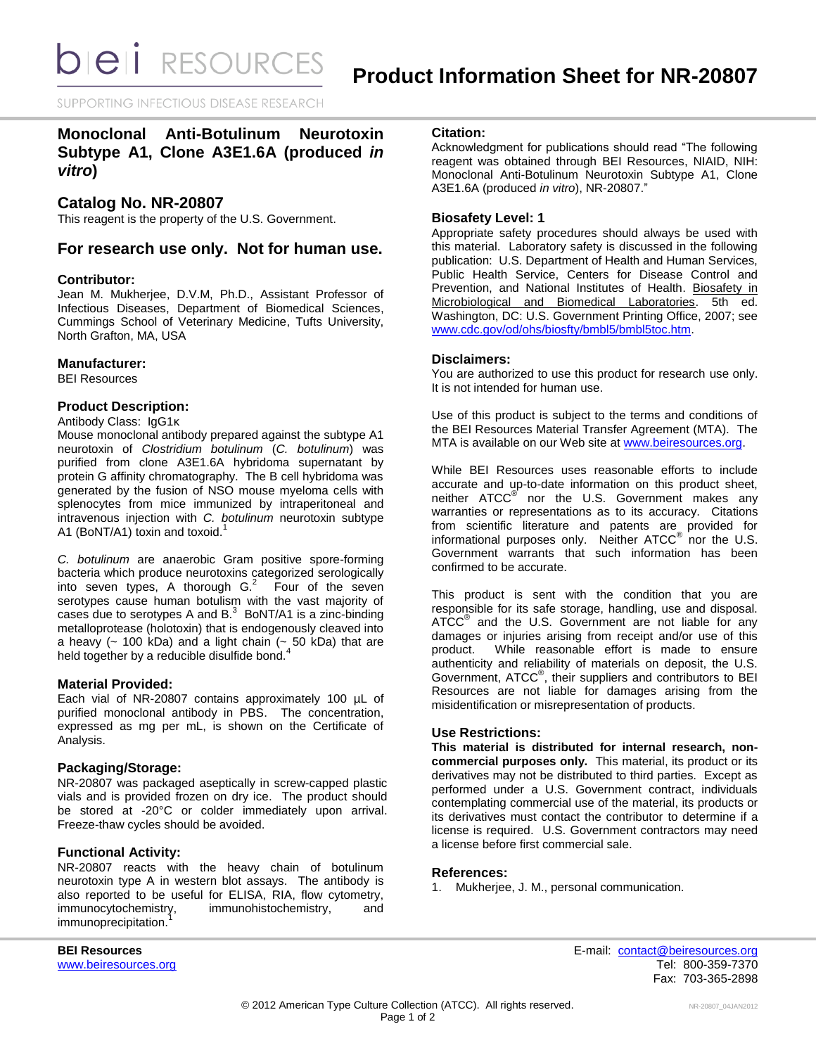SUPPORTING INFECTIOUS DISEASE RESEARCH

# **Monoclonal Anti-Botulinum Neurotoxin Subtype A1, Clone A3E1.6A (produced** *in vitro***)**

# **Catalog No. NR-20807**

This reagent is the property of the U.S. Government.

# **For research use only. Not for human use.**

### **Contributor:**

Jean M. Mukherjee, D.V.M, Ph.D., Assistant Professor of Infectious Diseases, Department of Biomedical Sciences, Cummings School of Veterinary Medicine, Tufts University, North Grafton, MA, USA

### **Manufacturer:**

BEI Resources

### **Product Description:**

Antibody Class: IgG1κ

Mouse monoclonal antibody prepared against the subtype A1 neurotoxin of *Clostridium botulinum* (*C. botulinum*) was purified from clone A3E1.6A hybridoma supernatant by protein G affinity chromatography. The B cell hybridoma was generated by the fusion of NSO mouse myeloma cells with splenocytes from mice immunized by intraperitoneal and intravenous injection with *C. botulinum* neurotoxin subtype A1 (BoNT/A1) toxin and toxoid.<sup>1</sup>

*C. botulinum* are anaerobic Gram positive spore-forming bacteria which produce neurotoxins categorized serologically into seven types, A thorough  $G<sup>2</sup>$  Four of the seven serotypes cause human botulism with the vast majority of cases due to serotypes A and  $B<sup>3</sup>$  BoNT/A1 is a zinc-binding metalloprotease (holotoxin) that is endogenously cleaved into a heavy ( $\sim$  100 kDa) and a light chain ( $\sim$  50 kDa) that are held together by a reducible disulfide bond.<sup>4</sup>

### **Material Provided:**

Each vial of NR-20807 contains approximately 100 µL of purified monoclonal antibody in PBS. The concentration, expressed as mg per mL, is shown on the Certificate of Analysis.

# **Packaging/Storage:**

NR-20807 was packaged aseptically in screw-capped plastic vials and is provided frozen on dry ice. The product should be stored at -20°C or colder immediately upon arrival. Freeze-thaw cycles should be avoided.

### **Functional Activity:**

NR-20807 reacts with the heavy chain of botulinum neurotoxin type A in western blot assays. The antibody is also reported to be useful for ELISA, RIA, flow cytometry,<br>immunocytochemistry, immunohistochemistry, and immunohistochemistry, and immunoprecipitation.

### **Citation:**

Acknowledgment for publications should read "The following reagent was obtained through BEI Resources, NIAID, NIH: Monoclonal Anti-Botulinum Neurotoxin Subtype A1, Clone A3E1.6A (produced *in vitro*), NR-20807."

### **Biosafety Level: 1**

Appropriate safety procedures should always be used with this material. Laboratory safety is discussed in the following publication: U.S. Department of Health and Human Services, Public Health Service, Centers for Disease Control and Prevention, and National Institutes of Health. Biosafety in Microbiological and Biomedical Laboratories. 5th ed. Washington, DC: U.S. Government Printing Office, 2007; see [www.cdc.gov/od/ohs/biosfty/bmbl5/bmbl5toc.htm.](http://www.cdc.gov/od/ohs/biosfty/bmbl5/bmbl5toc.htm)

### **Disclaimers:**

You are authorized to use this product for research use only. It is not intended for human use.

Use of this product is subject to the terms and conditions of the BEI Resources Material Transfer Agreement (MTA). The MTA is available on our Web site at [www.beiresources.org.](http://www.beiresources.org/)

While BEI Resources uses reasonable efforts to include accurate and up-to-date information on this product sheet, neither ATCC<sup>®</sup> nor the U.S. Government makes any warranties or representations as to its accuracy. Citations from scientific literature and patents are provided for informational purposes only. Neither  $\tt{ATCC}^{\circledR}$  nor the U.S. Government warrants that such information has been confirmed to be accurate.

This product is sent with the condition that you are responsible for its safe storage, handling, use and disposal. ATCC<sup>®</sup> and the U.S. Government are not liable for any damages or injuries arising from receipt and/or use of this product. While reasonable effort is made to ensure authenticity and reliability of materials on deposit, the U.S. Government, ATCC® , their suppliers and contributors to BEI Resources are not liable for damages arising from the misidentification or misrepresentation of products.

### **Use Restrictions:**

**This material is distributed for internal research, noncommercial purposes only.** This material, its product or its derivatives may not be distributed to third parties. Except as performed under a U.S. Government contract, individuals contemplating commercial use of the material, its products or its derivatives must contact the contributor to determine if a license is required. U.S. Government contractors may need a license before first commercial sale.

### **References:**

1. Mukherjee, J. M., personal communication.

**BEI Resources** E-mail: [contact@beiresources.org](mailto:contact@beiresources.org) [www.beiresources.org](http://www.beiresources.org/) **Tel: 800-359-7370** Fax: 703-365-2898